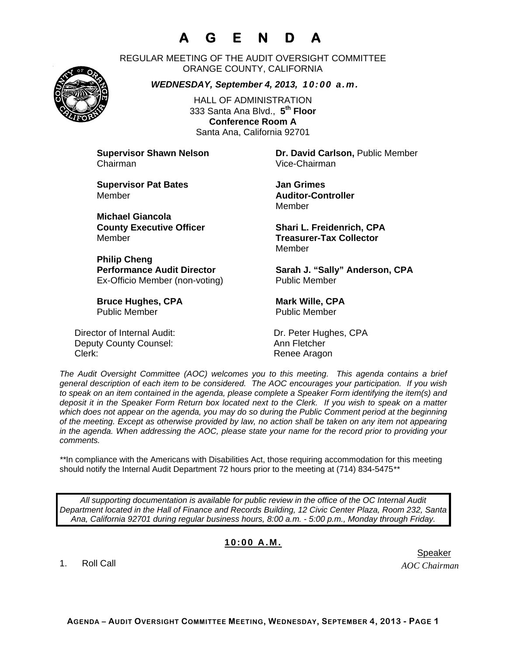# **A G E N D A**

REGULAR MEETING OF THE AUDIT OVERSIGHT COMMITTEE ORANGE COUNTY, CALIFORNIA

*WEDNESDAY, September 4, 2013, 10:00 a.m.*

HALL OF ADMINISTRATION 333 Santa Ana Blvd., **5th Floor Conference Room A**  Santa Ana, California 92701

Chairman Vice-Chairman

**Supervisor Pat Bates**  Jan Grimes Member **Auditor-Controller** 

**Michael Giancola** Member **Treasurer-Tax Collector** 

**Philip Cheng**  Ex-Officio Member (non-voting) Public Member

**Bruce Hughes, CPA** Mark Wille, CPA Public Member Public Member

Director of Internal Audit: Dr. Peter Hughes, CPA Deputy County Counsel: Ann Fletcher Clerk: Clerk: Clerk: Clerk: Renee Aragon

**Supervisor Shawn Nelson Dr. David Carlson,** Public Member

Member

**County Executive Officer Shari L. Freidenrich, CPA** Member

Performance Audit Director **Sarah J. "Sally" Anderson, CPA** 

*The Audit Oversight Committee (AOC) welcomes you to this meeting. This agenda contains a brief general description of each item to be considered. The AOC encourages your participation. If you wish to speak on an item contained in the agenda, please complete a Speaker Form identifying the item(s) and deposit it in the Speaker Form Return box located next to the Clerk. If you wish to speak on a matter which does not appear on the agenda, you may do so during the Public Comment period at the beginning of the meeting. Except as otherwise provided by law, no action shall be taken on any item not appearing in the agenda. When addressing the AOC, please state your name for the record prior to providing your comments.* 

*\*\**In compliance with the Americans with Disabilities Act, those requiring accommodation for this meeting should notify the Internal Audit Department 72 hours prior to the meeting at (714) 834-5475*\*\** 

*All supporting documentation is available for public review in the office of the OC Internal Audit Department located in the Hall of Finance and Records Building, 12 Civic Center Plaza, Room 232, Santa Ana, California 92701 during regular business hours, 8:00 a.m. - 5:00 p.m., Monday through Friday.* 

### **10:00 A.M.**

1. Roll Call

*AOC Chairman* 



er in de staat de bestiet in de staat de bestiet in de bestiet in de bestiet in de bestiet in de staat de staa